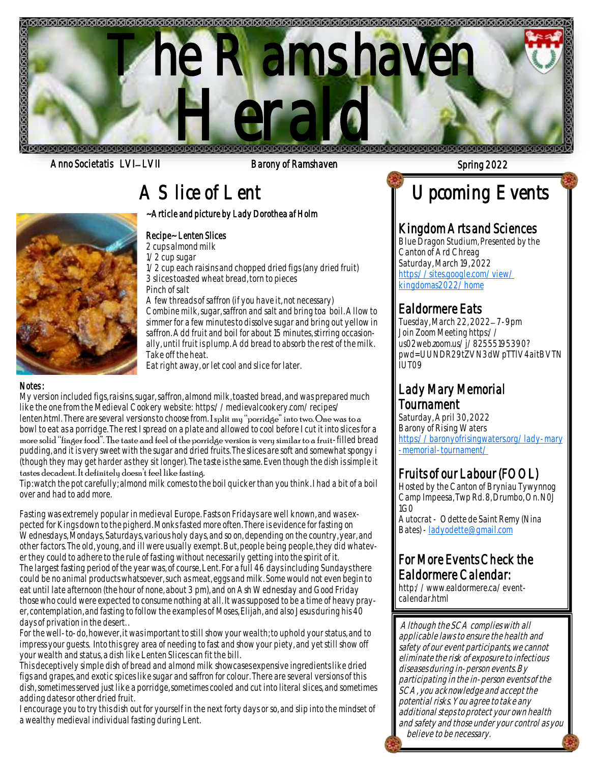

Anno Societatis LVI– LVII and Barony of Ramshaven Spring 2022 Spring 2022

# A Slice of Lent

~Article and picture by Lady Dorothea af Holm

### Recipe~ Lenten Slices

2 cups almond milk 1/2 cup sugar

1/2 cup each raisins and chopped dried figs (any dried fruit) 3 slices toasted wheat bread, torn to pieces Pinch of salt

A few threads of saffron (if you have it, not necessary) Combine milk, sugar, saffron and salt and bring toa boil. Allow to simmer for a few minutes to dissolve sugar and bring out yellow in saffron. Add fruit and boil for about 15 minutes, stirring occasionally, until fruit is plump. Add bread to absorb the rest of the milk. Take off the heat.

Eat right away, or let cool and slice for later.

### Notes :

My version included figs, raisins, sugar, saffron, almond milk, toasted bread, and was prepared much like the one from the Medieval Cookery website: https://medievalcookery.com/recipes/ lenten.html. There are several versions to choose from. I split my "porridge" into two. One was to a bowl to eat as a porridge. The rest I spread on a plate and allowed to cool before I cut it into slices for a more solid "finger food". The taste and feel of the porridge version is very similar to a fruit-filled bread pudding, and it is very sweet with the sugar and dried fruits. The slices are soft and somewhat spongy i (though they may get harder as they sit longer). The taste is the same. Even though the dish is simple it tastes decadent. It definitely doesn't feel like fasting.

Tip: watch the pot carefully; almond milk comes to the boil quicker than you think. I had a bit of a boil over and had to add more.

Fasting was extremely popular in medieval Europe. Fasts on Fridays are well Known, and was ex<br>pected for Kings down to the pigherd. Monks fasted more often. There is evidence for fasting on Fasting was extremely popular in medieval Europe. Fasts on Fridays are well known, and was ex-Wednesdays, Mondays, Saturdays, various holy days, and so on, depending on the country, year, and other factors. The old, young, and ill were usually exempt. But, people being people, they did whatever they could to adhere to the rule of fasting without necessarily getting into the spirit of it. The largest fasting period of the year was, of course, Lent. For a full 46 days including Sundays there could be no animal products whatsoever, such as meat, eggs and milk. Some would not even begin to eat until late afternoon (the hour of none, about 3 pm), and on Ash Wednesday and Good Friday those who could were expected to consume nothing at all. It was supposed to be a time of heavy prayer, contemplation, and fasting to follow the examples of Moses, Elijah, and also Jesus during his 40 days of privation in the desert. .

For the well-to-do, however, it was important to still show your wealth; to uphold your status, and to impress your guests. Into this grey area of needing to fast and show your piety, and yet still show off your wealth and status, a dish like Lenten Slices can fit the bill.

This deceptively simple dish of bread and almond milk showcases expensive ingredients like dried figs and grapes, and exotic spices like sugar and saffron for colour. There are several versions of this dish, sometimes served just like a porridge, sometimes cooled and cut into literal slices, and sometimes adding dates or other dried fruit.

I encourage you to try this dish out for yourself in the next forty days or so, and slip into the mindset of a wealthy medieval individual fasting during Lent.

# Upcoming Events

### Kingdom Arts and Sciences

Blue Dragon Studium, Presented by the Canton of Ard Chreag Saturday, March 19, 2022 [https://sites.google.com/view/](https://www.google.com/url?q=https%3A%2F%2Fsites.google.com%2Fview%2Fkingdomas2022%2Fhome%3Ffbclid%3DIwAR3Y8VW6NAS-gO2QO1v21VPOMSbfvFRhl3qMvyxmcMHtb7To9iAna-Ddp8I&sa=D&sntz=1&usg=AOvVaw1OzQD59BHlN2GAbam53kfo) [kingdomas2022/home](https://www.google.com/url?q=https%3A%2F%2Fsites.google.com%2Fview%2Fkingdomas2022%2Fhome%3Ffbclid%3DIwAR3Y8VW6NAS-gO2QO1v21VPOMSbfvFRhl3qMvyxmcMHtb7To9iAna-Ddp8I&sa=D&sntz=1&usg=AOvVaw1OzQD59BHlN2GAbam53kfo)

## Ealdormere Eats

Tuesday, March 22, 2022– 7-9pm Join Zoom Meeting https:// us02web.zoom.us/j/82555195390? pwd=UUNDR29tZVN3dWpTTlV4aitBVTN IUT09

### Lady Mary Memorial Tournament

Saturday, April 30, 2022 Barony of Rising Waters [https://baronyofrisingwaters.org/lady-mary](https://www.google.com/url?q=https%3A%2F%2Fbaronyofrisingwaters.org%2Flady-mary-memorial-tournament%2F%3Ffbclid%3DIwAR2k5RJY3kCXI18PGlk9WNexYEcT0xn5XwoPGv1cNzPkQjXoV6S1pyN-eo8&sa=D&ust=1647975967333000&usg=AOvVaw3wx9Th-NER1v1k7iZNwBO_) [-memorial-tournament/](https://www.google.com/url?q=https%3A%2F%2Fbaronyofrisingwaters.org%2Flady-mary-memorial-tournament%2F%3Ffbclid%3DIwAR2k5RJY3kCXI18PGlk9WNexYEcT0xn5XwoPGv1cNzPkQjXoV6S1pyN-eo8&sa=D&ust=1647975967333000&usg=AOvVaw3wx9Th-NER1v1k7iZNwBO_)

## Fruits of our Labour (FOOL)

Hosted by the Canton of Bryniau Tywynnog Camp Impeesa, Twp Rd. 8, Drumbo, On. N0J  $1$ G $\Omega$ 

Autocrat - Odette de Saint Remy (Nina Bates) - [ladyodette@gmail.com](mailto:ladyodette@gmail.com)

## For More Events Check the Ealdormere Calendar:

http://www.ealdormere.ca/eventcalendar.html

Although the SCA complies with all applicable laws to ensure the health and safety of our event participants, we cannot eliminate the risk of exposure to infectious diseases during in-person events. By participating in the in-person events of the SCA, you acknowledge and accept the potential risks. You agree to take any additional steps to protect your own health and safety and those under your control as you believe to be necessary.

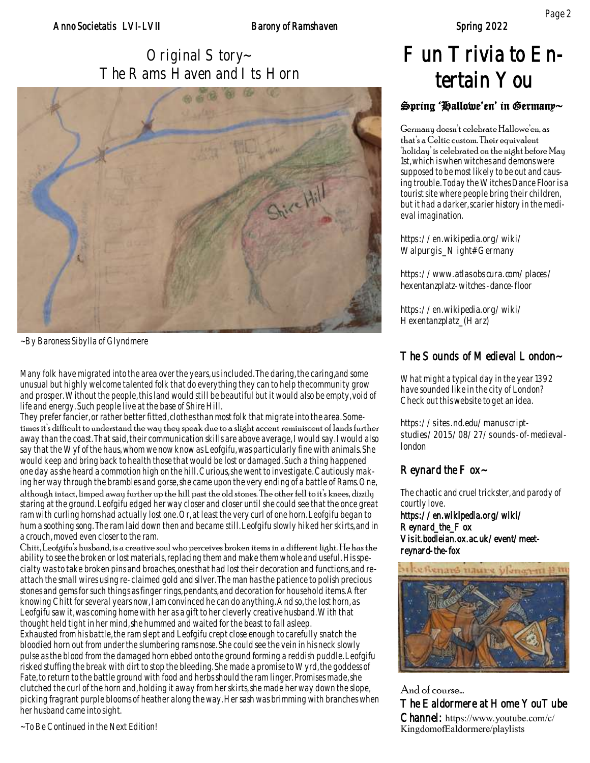Original Story~ The Rams Haven and I ts Horn



~By Baroness Sibylla of Glyndmere

Many folk have migrated into the area over the years, us included. The daring, the caring,and some unusual but highly welcome talented folk that do everything they can to help thecommunity grow and prosper. Without the people, this land would still be beautiful but it would also be empty, void of life and energy. Such people live at the base of Shire Hill.

They prefer fancier, or rather better fitted, clothes than most folk that migrate into the area. Sometimes it's difficult to understand the way they speak due to a slight accent reminiscent of lands further away than the coast. That said, their communication skills are above average, I would say. I would also say that the Wyf of the haus, whom we now know as Leofgifu, was particularly fine with animals. She would keep and bring back to health those that would be lost or damaged. Such a thing happened one day as she heard a commotion high on the hill. Curious, she went to investigate. Cautiously making her way through the brambles and gorse, she came upon the very ending of a battle of Rams. One,

although intact, limped away further up the hill past the old stones. The other fell to it's knees, dizzily staring at the ground. Leofgifu edged her way closer and closer until she could see that the once great ram with curling horns had actually lost one. Or, at least the very curl of one horn. Leofgifu began to hum a soothing song. The ram laid down then and became still. Leofgifu slowly hiked her skirts, and in a crouch, moved even closer to the ram.

Chitt, Leofgifu's husband, is a creative soul who perceives broken items in a different light. He has the ability to see the broken or lost materials, replacing them and make them whole and useful. His specialty was to take broken pins and broaches, ones that had lost their decoration and functions, and reattach the small wires using re-claimed gold and silver. The man has the patience to polish precious stones and gems for such things as finger rings, pendants, and decoration for household items. After knowing Chitt for several years now, I am convinced he can do anything. And so, the lost horn, as Leofgifu saw it, was coming home with her as a gift to her cleverly creative husband. With that thought held tight in her mind, she hummed and waited for the beast to fall asleep.

Exhausted from his battle, the ram slept and Leofgifu crept close enough to carefully snatch the bloodied horn out from under the slumbering rams nose. She could see the vein in his neck slowly pulse as the blood from the damaged horn ebbed onto the ground forming a reddish puddle. Leofgifu risked stuffing the break with dirt to stop the bleeding. She made a promise to Wyrd, the goddess of Fate, to return to the battle ground with food and herbs should the ram linger. Promises made, she clutched the curl of the horn and, holding it away from her skirts, she made her way down the slope, picking fragrant purple blooms of heather along the way. Her sash was brimming with branches when her husband came into sight.

~To Be Continued in the Next Edition!

# Fun Trivia to Entertain You

### Spring 'Hallowe'en' in Germany~

Germany doesn't celebrate Hallowe'en, as that's a Celtic custom. Their equivalent 'holiday' is celebrated on the night before May 1st, which is when witches and demons were supposed to be most likely to be out and causing trouble. Today the Witches Dance Floor is a tourist site where people bring their children, but it had a darker, scarier history in the medieval imagination.

https://en.wikipedia.org/wiki/ Walpurgis\_Night#Germany

https://www.atlasobscura.com/places/ hexentanzplatz-witches-dance-floor

https://en.wikipedia.org/wiki/ Hexentanzplatz\_(Harz)

### The Sounds of Medieval London~

What might a typical day in the year 1392 have sounded like in the city of London? Check out this website to get an idea.

https://sites.nd.edu/manuscriptstudies/2015/08/27/sounds-of-medievallondon

### Reynard the  $F$  ox $\sim$

The chaotic and cruel trickster, and parody of courtly love. https://en.wikipedia.org/wiki/ Reynard\_the\_Fox

Visit.bodleian.ox.ac.uk/event/meetreynard-the-fox



And of course… The Ealdormere at Home YouTube Channel: https://www.youtube.com/c/ KingdomofEaldormere/playlists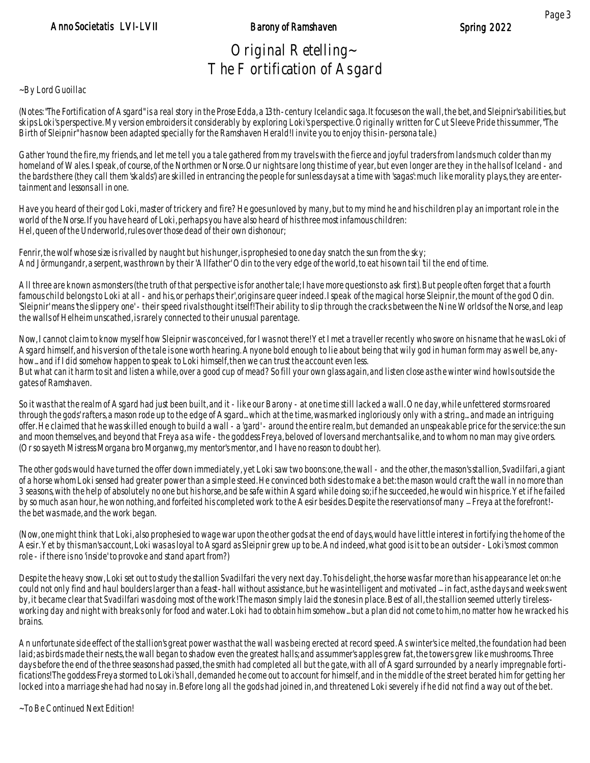## Original Retelling~ The Fortification of Asgard

### ~By Lord Guoillac

(Notes: "The Fortification of Asgard" is a real story in the Prose Edda, a 13th-century Icelandic saga. It focuses on the wall, the bet, and Sleipnir's abilities, but skips Loki's perspective. My version embroiders it considerably by exploring Loki's perspective. Originally written for Cut Sleeve Pride this summer, "The Birth of Sleipnir" has now been adapted specially for the Ramshaven Herald! I invite you to enjoy this in-persona tale.)

Gather 'round the fire, my friends, and let me tell you a tale gathered from my travels with the fierce and joyful traders from lands much colder than my homeland of Wales. I speak, of course, of the Northmen or Norse. Our nights are long this time of year, but even longer are they in the halls of Iceland - and the bards there (they call them 'skalds') are skilled in entrancing the people for sunless days at a time with 'sagas': much like morality plays, they are entertainment and lessons all in one.

Have you heard of their god Loki, master of trickery and fire? He goes unloved by many, but to my mind he and his children play an important role in the world of the Norse. If you have heard of Loki, perhaps you have also heard of his three most infamous children: Hel, queen of the Underworld, rules over those dead of their own dishonour;

Fenrir, the wolf whose size is rivalled by naught but his hunger, is prophesied to one day snatch the sun from the sky; And Jörmungandr, a serpent, was thrown by their 'Allfather' Odin to the very edge of the world, to eat his own tail 'til the end of time.

All three are known as monsters (the truth of that perspective is for another tale; I have more questions to ask first). But people often forget that a fourth famous child belongs to Loki at all - and his, or perhaps 'their', origins are queer indeed. I speak of the magical horse Sleipnir, the mount of the god Odin. 'Sleipnir' means 'the slippery one' - their speed rivals thought itself! Their ability to slip through the cracks between the Nine Worlds of the Norse, and leap the walls of Helheim unscathed, is rarely connected to their unusual parentage.

Now, I cannot claim to know myself how Sleipnir was conceived, for I was not there! Yet I met a traveller recently who swore on his name that he was Loki of Asgard himself, and his version of the tale is one worth hearing. Anyone bold enough to lie about being that wily god in human form may as well be, anyhow... and if I did somehow happen to speak to Loki himself, then we can trust the account even less. But what can it harm to sit and listen a while, over a good cup of mead? So fill your own glass again, and listen close as the winter wind howls outside the gates of Ramshaven.

So it was that the realm of Asgard had just been built, and it - like our Barony - at one time still lacked a wall. One day, while unfettered storms roared through the gods' rafters, a mason rode up to the edge of Asgard... which at the time, was marked ingloriously only with a string... and made an intriguing offer. He claimed that he was skilled enough to build a wall - a 'gard' - around the entire realm, but demanded an unspeakable price for the service: the sun and moon themselves, and beyond that Freya as a wife - the goddess Freya, beloved of lovers and merchants alike, and to whom no man may give orders. (Or so sayeth Mistress Morgana bro Morganwg, my mentor's mentor, and I have no reason to doubt her).

The other gods would have turned the offer down immediately, yet Loki saw two boons: one, the wall - and the other, the mason's stallion, Svadilfari, a giant of a horse whom Loki sensed had greater power than a simple steed. He convinced both sides to make a bet: the mason would craft the wall in no more than 3 seasons, with the help of absolutely no one but his horse, and be safe within Asgard while doing so; if he succeeded, he would win his price. Yet if he failed by so much as an hour, he won nothing, and forfeited his completed work to the Aesir besides. Despite the reservations of many – Freya at the forefront! the bet was made, and the work began.

(Now, one might think that Loki, also prophesied to wage war upon the other gods at the end of days, would have little interest in fortifying the home of the Aesir. Yet by this man's account, Loki was as loyal to Asgard as Sleipnir grew up to be. And indeed, what good is it to be an outsider - Loki's most common role - if there is no 'inside' to provoke and stand apart from?)

Despite the heavy snow, Loki set out to study the stallion Svadilfari the very next day. To his delight, the horse was far more than his appearance let on: he could not only find and haul boulders larger than a feast-hall without assistance, but he was intelligent and motivated – in fact, as the days and weeks went by, it became clear that Svadilfari was doing most of the work! The mason simply laid the stones in place. Best of all, the stallion seemed utterly tireless working day and night with breaks only for food and water. Loki had to obtain him somehow... but a plan did not come to him, no matter how he wracked his brains.

An unfortunate side effect of the stallion's great power was that the wall was being erected at record speed. As winter's ice melted, the foundation had been laid; as birds made their nests, the wall began to shadow even the greatest halls; and as summer's apples grew fat, the towers grew like mushrooms. Three days before the end of the three seasons had passed, the smith had completed all but the gate, with all of Asgard surrounded by a nearly impregnable fortifications! The goddess Freya stormed to Loki's hall, demanded he come out to account for himself, and in the middle of the street berated him for getting her locked into a marriage she had had no say in. Before long all the gods had joined in, and threatened Loki severely if he did not find a way out of the bet.

~To Be Continued Next Edition!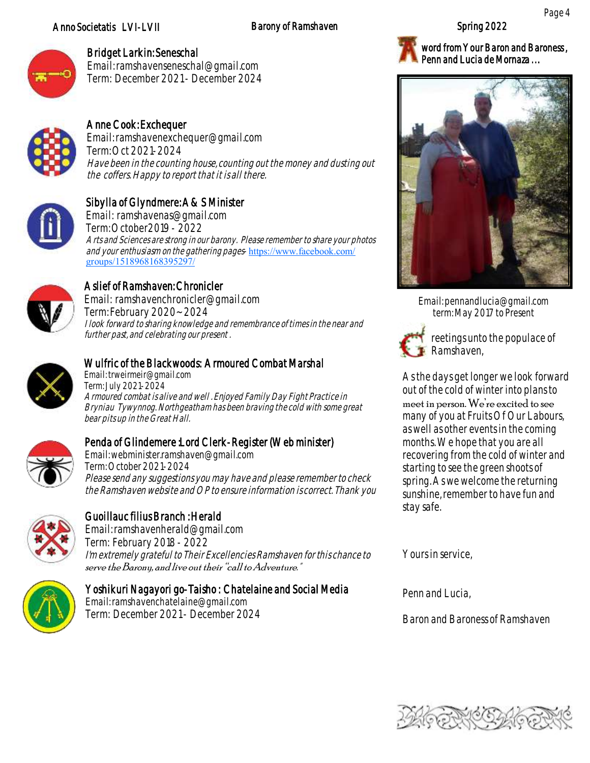### Anno Societatis LVI-LVII Barony of Ramshaven

Page 4



### Bridget Larkin: Seneschal

Email: ramshavenseneschal@gmail.com Term: December 2021 - December 2024



### Anne Cook: Exchequer

Email: ramshavenexchequer@gmail.com Term: Oct 2021-2024 Have been in the counting house, counting out the money and dusting out the coffers. Happy to report that it is all there.



### Sibylla of Glyndmere: A&S Minister

Email: ramshavenas@gmail.com Term: October2019 - 2022 Arts and Sciences are strong in our barony. Please remember to share your photos and your enthusiasm on the gathering pages-[https://www.facebook.com/](https://www.facebook.com/groups/1518968168395297/) [groups/1518968168395297/](https://www.facebook.com/groups/1518968168395297/)



# Aslief of Ramshaven: Chronicler

Email: ramshavenchronicler@gmail.com Term: February 2020~ 2024 I look forward to sharing knowledge and remembrance of times in the near and further past, and celebrating our present .



### Wulfric of the Blackwoods: Armoured Combat Marshal

Email: trweirmeir@gmail.com Term: July 2021-2024 Armoured combat is alive and well . Enjoyed Family Day Fight Practice in Bryniau Tywynnog. Northgeatham has been braving the cold with some great bear pits up in the Great Hall.



### Penda of Glindemere :Lord Clerk-Register (Web minister)

Email: webminister.ramshaven@gmail.com Term: October 2021-2024 Please send any suggestions you may have and please remember to check the Ramshaven website and OP to ensure information is correct. Thank you



### Guoillauc filius Branch : Herald

Email: ramshavenherald@gmail.com Term: February 2018 - 2022 I'm extremely grateful to Their Excellencies Ramshaven for this chance to serve the Barony, and live out their "call to Adventure."



### Yoshikuri Nagayori go-Taisho : Chatelaine and Social Media

Email: ramshavenchatelaine@gmail.com Term: December 2021 -December 2024



word from Your Baron and Baroness, Penn and Lucia de Mornaza ...



Email: pennandlucia@gmail.com term: May 2017 to Present



reetings unto the populace of Ramshaven,

As the days get longer we look forward out of the cold of winter into plans to meet in person. We're excited to see many of you at Fruits Of Our Labours, as well as other events in the coming months. We hope that you are all recovering from the cold of winter and starting to see the green shoots of spring. As we welcome the returning sunshine, remember to have fun and stay safe.

Yours in service,

Penn and Lucia,

Baron and Baroness of Ramshaven

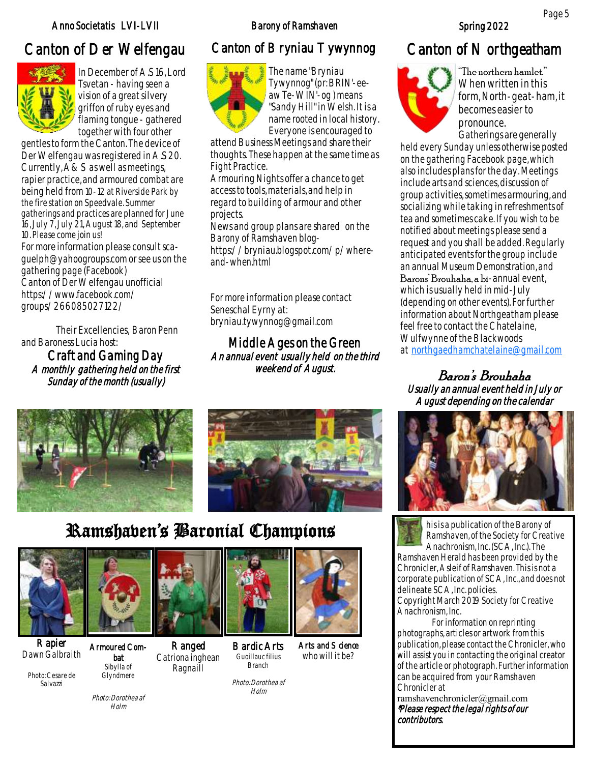### Anno Societatis LVI-LVII Barony of Ramshaven Spring 2022

# Canton of Der Welfengau Canton of Bryniau Tywynnog Canton of Northgeatham



In December of A.S 16, Lord Tsvetan - having seen a vision of a great silvery griffon of ruby eyes and flaming tongue - gathered together with four other

gentles to form the Canton. The device of Der Welfengau was registered in A.S 20. Currently, A&S as well as meetings, rapier practice, and armoured combat are being held from 10-12 at Riverside Park by the fire station on Speedvale. Summer gatherings and practices are planned for June 16, July 7, July 21, August 18, and September 10. Please come join us!

For more information please consult scaguelph@yahoogroups.com or see us on the gathering page (Facebook) Canton of Der Welfengau unofficial https://www.facebook.com/ groups/266085027122/

Their Excellencies, Baron Penn and Baroness Lucia host:

Craft and Gaming Day A monthly gathering held on the first Sunday of the month (usually)



The name "Bryniau Tywynnog" (pr: BRIN'-eeaw Te-WIN'-og ) means "Sandy Hill" in Welsh. It is a name rooted in local history. Everyone is encouraged to

attend Business Meetings and share their thoughts. These happen at the same time as Fight Practice.

Armouring Nights offer a chance to get access to tools, materials, and help in regard to building of armour and other projects.

News and group plans are shared on the Barony of Ramshaven blog-

https://bryniau.blogspot.com/p/whereand-when.html

For more information please contact Seneschal Eyrny at: bryniau.tywynnog@gmail.com

Middle Ages on the Green An annual event usually held on the third weekend of August.





# Ramshaven's Baronial Champions



Rapier Dawn Galbraith

Photo: Cesare de Salvazzi



Armoured Combat Sibylla of Glyndmere

Photo: Dorothea af  $H<sub>olm</sub>$ 





Bardic Arts Guoillauc filius Branch



Arts and Science who will it be?

Photo: Dorothea af Holm



"The northern hamlet." When written in this form, North-geat-ham, it becomes easier to pronounce. Gatherings are generally

held every Sunday unless otherwise posted on the gathering Facebook page, which also includes plans for the day. Meetings include arts and sciences, discussion of group activities, sometimes armouring, and socializing while taking in refreshments of tea and sometimes cake. If you wish to be notified about meetings please send a request and you shall be added. Regularly anticipated events for the group include an annual Museum Demonstration, and Barons' Brouhaha, a bi-annual event,

which is usually held in mid-July (depending on other events). For further information about Northgeatham please feel free to contact the Chatelaine, Wulfwynne of the Blackwoods at [northgaedhamchatelaine@gmail.com](mailto:northgaedhamchatelaine@gmail.com)

Baron's Brouhaha Usually an annual event held in July or August depending on the calendar



his is a publication of the Barony of Ramshaven, of the Society for Creative Anachronism, Inc. (SCA, Inc.). The

Ramshaven Herald has been provided by the Chronicler, Asleif of Ramshaven. This is not a corporate publication of SCA, Inc., and does not delineate SCA, Inc. policies. Copyright March 2019 Society for Creative Anachronism, Inc.

For information on reprinting photographs, articles or artwork from this publication, please contact the Chronicler, who will assist you in contacting the original creator of the article or photograph. Further information can be acquired from your Ramshaven Chronicler at

ramshavenchronicler@gmail.com \*Please respect the legal rights of our contributors.